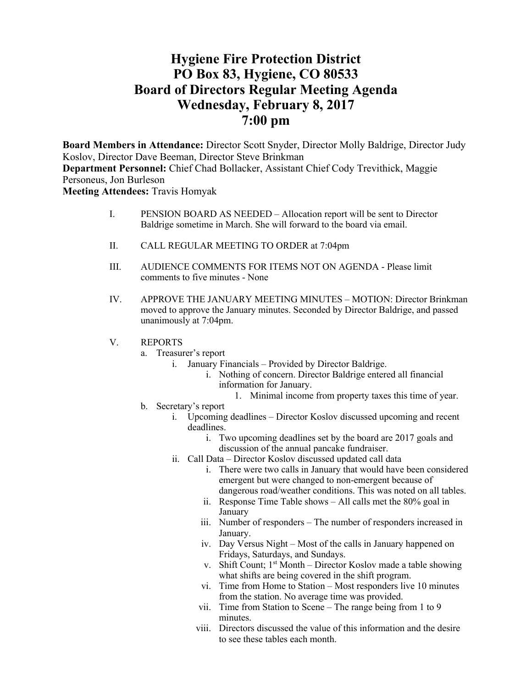# **Hygiene Fire Protection District PO Box 83, Hygiene, CO 80533 Board of Directors Regular Meeting Agenda Wednesday, February 8, 2017 7:00 pm**

**Board Members in Attendance:** Director Scott Snyder, Director Molly Baldrige, Director Judy Koslov, Director Dave Beeman, Director Steve Brinkman **Department Personnel:** Chief Chad Bollacker, Assistant Chief Cody Trevithick, Maggie Personeus, Jon Burleson **Meeting Attendees:** Travis Homyak

- I. PENSION BOARD AS NEEDED Allocation report will be sent to Director Baldrige sometime in March. She will forward to the board via email.
- II. CALL REGULAR MEETING TO ORDER at 7:04pm
- III. AUDIENCE COMMENTS FOR ITEMS NOT ON AGENDA Please limit comments to five minutes - None
- IV. APPROVE THE JANUARY MEETING MINUTES MOTION: Director Brinkman moved to approve the January minutes. Seconded by Director Baldrige, and passed unanimously at 7:04pm.
- V. REPORTS
	- a. Treasurer's report
		- i. January Financials Provided by Director Baldrige.
			- i. Nothing of concern. Director Baldrige entered all financial information for January.
				- 1. Minimal income from property taxes this time of year.
	- b. Secretary's report
		- i. Upcoming deadlines Director Koslov discussed upcoming and recent deadlines.
			- i. Two upcoming deadlines set by the board are 2017 goals and discussion of the annual pancake fundraiser.
		- ii. Call Data Director Koslov discussed updated call data
			- i. There were two calls in January that would have been considered emergent but were changed to non-emergent because of dangerous road/weather conditions. This was noted on all tables.
			- ii. Response Time Table shows All calls met the 80% goal in January
			- iii. Number of responders The number of responders increased in January.
			- iv. Day Versus Night Most of the calls in January happened on Fridays, Saturdays, and Sundays.
			- v. Shift Count;  $1<sup>st</sup>$  Month Director Koslov made a table showing what shifts are being covered in the shift program.
			- vi. Time from Home to Station Most responders live 10 minutes from the station. No average time was provided.
			- vii. Time from Station to Scene The range being from 1 to 9 minutes.
			- viii. Directors discussed the value of this information and the desire to see these tables each month.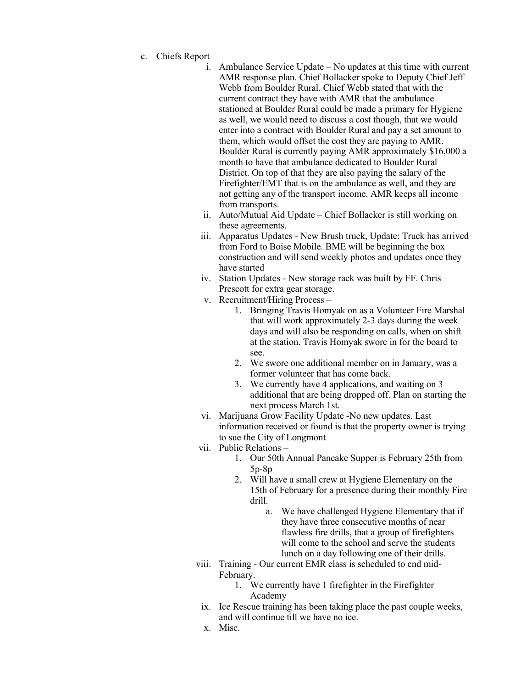- c. Chiefs Report
	- i. Ambulance Service Update No updates at this time with current AMR response plan. Chief Bollacker spoke to Deputy Chief Jeff Webb from Boulder Rural. Chief Webb stated that with the current contract they have with AMR that the ambulance stationed at Boulder Rural could be made a primary for Hygiene as well, we would need to discuss a cost though, that we would enter into a contract with Boulder Rural and pay a set amount to them, which would offset the cost they are paying to AMR. Boulder Rural is currently paying AMR approximately \$16,000 a month to have that ambulance dedicated to Boulder Rural District. On top of that they are also paying the salary of the Firefighter/EMT that is on the ambulance as well, and they are not getting any of the transport income. AMR keeps all income from transports.
	- ii. Auto/Mutual Aid Update Chief Bollacker is still working on these agreements.
	- iii. Apparatus Updates New Brush truck, Update: Truck has arrived from Ford to Boise Mobile. BME will be beginning the box construction and will send weekly photos and updates once they have started
	- iv. Station Updates New storage rack was built by FF. Chris Prescott for extra gear storage.
	- v. Recruitment/Hiring Process
		- 1. Bringing Travis Homyak on as a Volunteer Fire Marshal that will work approximately 2-3 days during the week days and will also be responding on calls, when on shift at the station. Travis Homyak swore in for the board to see.
		- 2. We swore one additional member on in January, was a former volunteer that has come back.
		- 3. We currently have 4 applications, and waiting on 3 additional that are being dropped off. Plan on starting the next process March 1st.
	- vi. Marijuana Grow Facility Update -No new updates. Last information received or found is that the property owner is trying to sue the City of Longmont
	- vii. Public Relations
		- 1. Our 50th Annual Pancake Supper is February 25th from 5p-8p
		- 2. Will have a small crew at Hygiene Elementary on the 15th of February for a presence during their monthly Fire drill.
			- a. We have challenged Hygiene Elementary that if they have three consecutive months of near flawless fire drills, that a group of firefighters will come to the school and serve the students lunch on a day following one of their drills.
	- viii. Training Our current EMR class is scheduled to end mid-February.
		- 1. We currently have 1 firefighter in the Firefighter Academy
	- ix. Ice Rescue training has been taking place the past couple weeks, and will continue till we have no ice.
	- x. Misc.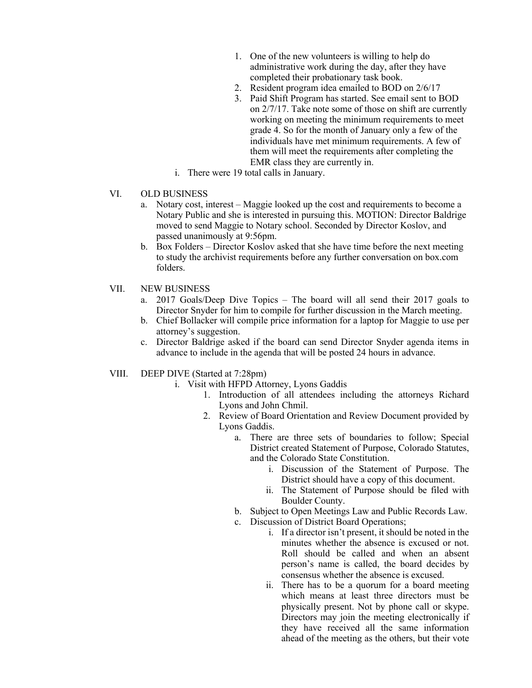- 1. One of the new volunteers is willing to help do administrative work during the day, after they have completed their probationary task book.
- 2. Resident program idea emailed to BOD on 2/6/17
- 3. Paid Shift Program has started. See email sent to BOD on 2/7/17. Take note some of those on shift are currently working on meeting the minimum requirements to meet grade 4. So for the month of January only a few of the individuals have met minimum requirements. A few of them will meet the requirements after completing the EMR class they are currently in.
- i. There were 19 total calls in January.
- VI. OLD BUSINESS
	- a. Notary cost, interest Maggie looked up the cost and requirements to become a Notary Public and she is interested in pursuing this. MOTION: Director Baldrige moved to send Maggie to Notary school. Seconded by Director Koslov, and passed unanimously at 9:56pm.
	- b. Box Folders Director Koslov asked that she have time before the next meeting to study the archivist requirements before any further conversation on box.com folders.
- VII. NEW BUSINESS
	- a. 2017 Goals/Deep Dive Topics The board will all send their 2017 goals to Director Snyder for him to compile for further discussion in the March meeting.
	- b. Chief Bollacker will compile price information for a laptop for Maggie to use per attorney's suggestion.
	- c. Director Baldrige asked if the board can send Director Snyder agenda items in advance to include in the agenda that will be posted 24 hours in advance.
- VIII. DEEP DIVE (Started at 7:28pm)
	- i. Visit with HFPD Attorney, Lyons Gaddis
		- 1. Introduction of all attendees including the attorneys Richard Lyons and John Chmil.
		- 2. Review of Board Orientation and Review Document provided by Lyons Gaddis.
			- a. There are three sets of boundaries to follow; Special District created Statement of Purpose, Colorado Statutes, and the Colorado State Constitution.
				- i. Discussion of the Statement of Purpose. The District should have a copy of this document.
				- ii. The Statement of Purpose should be filed with Boulder County.
			- b. Subject to Open Meetings Law and Public Records Law.
			- c. Discussion of District Board Operations;
				- i. If a director isn't present, it should be noted in the minutes whether the absence is excused or not. Roll should be called and when an absent person's name is called, the board decides by consensus whether the absence is excused.
				- ii. There has to be a quorum for a board meeting which means at least three directors must be physically present. Not by phone call or skype. Directors may join the meeting electronically if they have received all the same information ahead of the meeting as the others, but their vote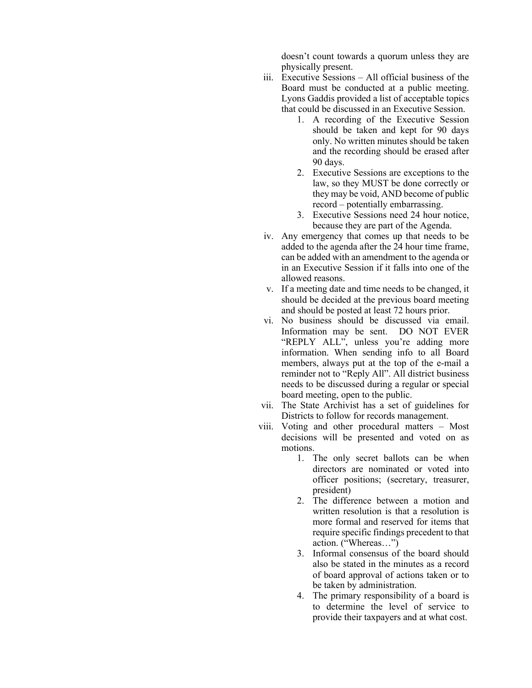doesn't count towards a quorum unless they are physically present.

- iii. Executive Sessions All official business of the Board must be conducted at a public meeting. Lyons Gaddis provided a list of acceptable topics that could be discussed in an Executive Session.
	- 1. A recording of the Executive Session should be taken and kept for 90 days only. No written minutes should be taken and the recording should be erased after 90 days.
	- 2. Executive Sessions are exceptions to the law, so they MUST be done correctly or they may be void, AND become of public record – potentially embarrassing.
	- 3. Executive Sessions need 24 hour notice, because they are part of the Agenda.
- iv. Any emergency that comes up that needs to be added to the agenda after the 24 hour time frame, can be added with an amendment to the agenda or in an Executive Session if it falls into one of the allowed reasons.
- v. If a meeting date and time needs to be changed, it should be decided at the previous board meeting and should be posted at least 72 hours prior.
- vi. No business should be discussed via email. Information may be sent. DO NOT EVER "REPLY ALL", unless you're adding more information. When sending info to all Board members, always put at the top of the e-mail a reminder not to "Reply All". All district business needs to be discussed during a regular or special board meeting, open to the public.
- vii. The State Archivist has a set of guidelines for Districts to follow for records management.
- viii. Voting and other procedural matters Most decisions will be presented and voted on as motions.
	- 1. The only secret ballots can be when directors are nominated or voted into officer positions; (secretary, treasurer, president)
	- 2. The difference between a motion and written resolution is that a resolution is more formal and reserved for items that require specific findings precedent to that action. ("Whereas…")
	- 3. Informal consensus of the board should also be stated in the minutes as a record of board approval of actions taken or to be taken by administration.
	- 4. The primary responsibility of a board is to determine the level of service to provide their taxpayers and at what cost.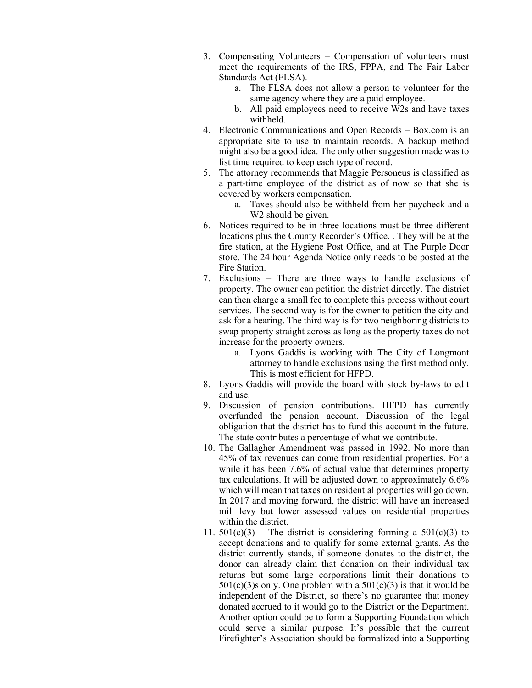- 3. Compensating Volunteers Compensation of volunteers must meet the requirements of the IRS, FPPA, and The Fair Labor Standards Act (FLSA).
	- a. The FLSA does not allow a person to volunteer for the same agency where they are a paid employee.
	- b. All paid employees need to receive W2s and have taxes withheld.
- 4. Electronic Communications and Open Records Box.com is an appropriate site to use to maintain records. A backup method might also be a good idea. The only other suggestion made was to list time required to keep each type of record.
- 5. The attorney recommends that Maggie Personeus is classified as a part-time employee of the district as of now so that she is covered by workers compensation.
	- a. Taxes should also be withheld from her paycheck and a W<sub>2</sub> should be given.
- 6. Notices required to be in three locations must be three different locations plus the County Recorder's Office. . They will be at the fire station, at the Hygiene Post Office, and at The Purple Door store. The 24 hour Agenda Notice only needs to be posted at the Fire Station.
- 7. Exclusions There are three ways to handle exclusions of property. The owner can petition the district directly. The district can then charge a small fee to complete this process without court services. The second way is for the owner to petition the city and ask for a hearing. The third way is for two neighboring districts to swap property straight across as long as the property taxes do not increase for the property owners.
	- a. Lyons Gaddis is working with The City of Longmont attorney to handle exclusions using the first method only. This is most efficient for HFPD.
- 8. Lyons Gaddis will provide the board with stock by-laws to edit and use.
- 9. Discussion of pension contributions. HFPD has currently overfunded the pension account. Discussion of the legal obligation that the district has to fund this account in the future. The state contributes a percentage of what we contribute.
- 10. The Gallagher Amendment was passed in 1992. No more than 45% of tax revenues can come from residential properties. For a while it has been 7.6% of actual value that determines property tax calculations. It will be adjusted down to approximately 6.6% which will mean that taxes on residential properties will go down. In 2017 and moving forward, the district will have an increased mill levy but lower assessed values on residential properties within the district.
- 11.  $501(c)(3)$  The district is considering forming a  $501(c)(3)$  to accept donations and to qualify for some external grants. As the district currently stands, if someone donates to the district, the donor can already claim that donation on their individual tax returns but some large corporations limit their donations to  $501(c)(3)$ s only. One problem with a  $501(c)(3)$  is that it would be independent of the District, so there's no guarantee that money donated accrued to it would go to the District or the Department. Another option could be to form a Supporting Foundation which could serve a similar purpose. It's possible that the current Firefighter's Association should be formalized into a Supporting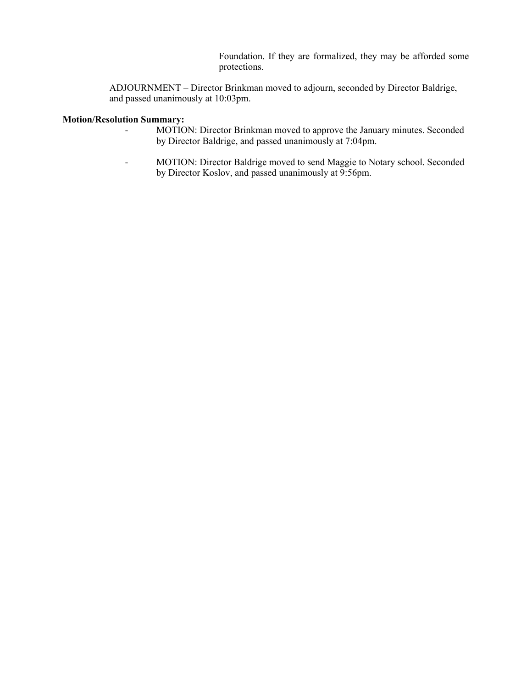Foundation. If they are formalized, they may be afforded some protections.

ADJOURNMENT – Director Brinkman moved to adjourn, seconded by Director Baldrige, and passed unanimously at 10:03pm.

## **Motion/Resolution Summary:**

- MOTION: Director Brinkman moved to approve the January minutes. Seconded by Director Baldrige, and passed unanimously at 7:04pm.
- MOTION: Director Baldrige moved to send Maggie to Notary school. Seconded by Director Koslov, and passed unanimously at 9:56pm.